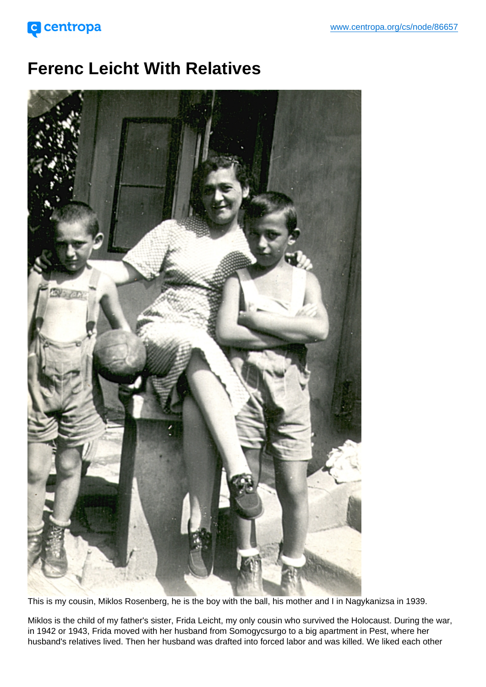## Ferenc Leicht With Relatives

This is my cousin, Miklos Rosenberg, he is the boy with the ball, his mother and I in Nagykanizsa in 1939.

Miklos is the child of my father's sister, Frida Leicht, my only cousin who survived the Holocaust. During the war, in 1942 or 1943, Frida moved with her husband from Somogycsurgo to a big apartment in Pest, where her husband's relatives lived. Then her husband was drafted into forced labor and was killed. We liked each other